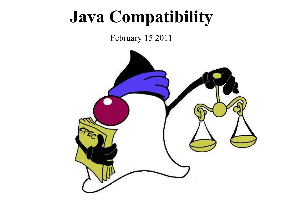#### **Java Compatibility**

#### February 15 2011

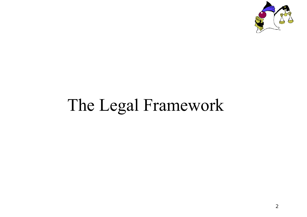

### The Legal Framework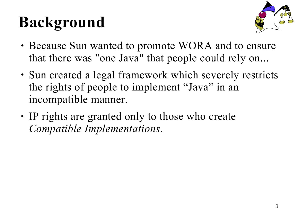## **Background**



- Because Sun wanted to promote WORA and to ensure that there was "one Java" that people could rely on...
- Sun created a legal framework which severely restricts the rights of people to implement "Java" in an incompatible manner.
- IP rights are granted only to those who create *Compatible Implementations*.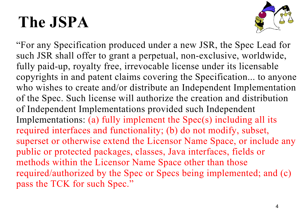#### **The JSPA**



"For any Specification produced under a new JSR, the Spec Lead for such JSR shall offer to grant a perpetual, non-exclusive, worldwide, fully paid-up, royalty free, irrevocable license under its licensable copyrights in and patent claims covering the Specification... to anyone who wishes to create and/or distribute an Independent Implementation of the Spec. Such license will authorize the creation and distribution of Independent Implementations provided such Independent Implementations: (a) fully implement the Spec(s) including all its required interfaces and functionality; (b) do not modify, subset, superset or otherwise extend the Licensor Name Space, or include any public or protected packages, classes, Java interfaces, fields or methods within the Licensor Name Space other than those required/authorized by the Spec or Specs being implemented; and (c) pass the TCK for such Spec."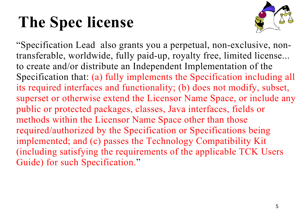#### **The Spec license**



"Specification Lead also grants you a perpetual, non-exclusive, nontransferable, worldwide, fully paid-up, royalty free, limited license... to create and/or distribute an Independent Implementation of the Specification that: (a) fully implements the Specification including all its required interfaces and functionality; (b) does not modify, subset, superset or otherwise extend the Licensor Name Space, or include any public or protected packages, classes, Java interfaces, fields or methods within the Licensor Name Space other than those required/authorized by the Specification or Specifications being implemented; and (c) passes the Technology Compatibility Kit (including satisfying the requirements of the applicable TCK Users Guide) for such Specification."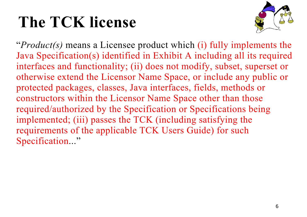#### **The TCK license**



"*Product(s)* means a Licensee product which (i) fully implements the Java Specification(s) identified in Exhibit A including all its required interfaces and functionality; (ii) does not modify, subset, superset or otherwise extend the Licensor Name Space, or include any public or protected packages, classes, Java interfaces, fields, methods or constructors within the Licensor Name Space other than those required/authorized by the Specification or Specifications being implemented; (iii) passes the TCK (including satisfying the requirements of the applicable TCK Users Guide) for such Specification..."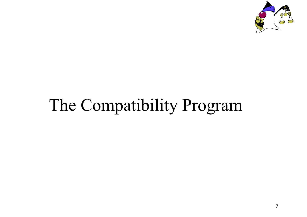

#### The Compatibility Program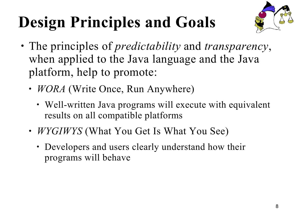# **Design Principles and Goals**



- The principles of *predictability* and *transparency*, when applied to the Java language and the Java platform, help to promote:
	- *WORA* (Write Once, Run Anywhere)
		- Well-written Java programs will execute with equivalent results on all compatible platforms
	- *WYGIWYS* (What You Get Is What You See)
		- Developers and users clearly understand how their programs will behave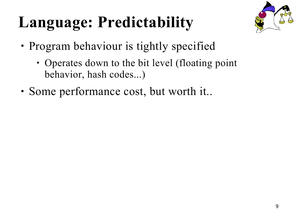### **Language: Predictability**



- Program behaviour is tightly specified
	- Operates down to the bit level (floating point) behavior, hash codes...)
- Some performance cost, but worth it..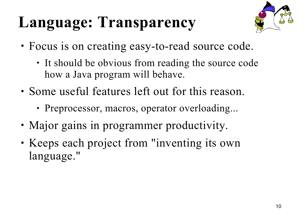### **Language: Transparency**



- Focus is on creating easy-to-read source code.
	- It should be obvious from reading the source code how a Java program will behave.
- Some useful features left out for this reason.
	- Preprocessor, macros, operator overloading...
- Major gains in programmer productivity.
- Keeps each project from "inventing its own language."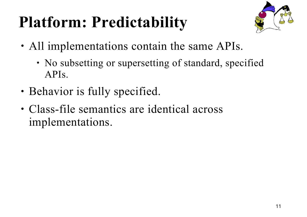### **Platform: Predictability**



- All implementations contain the same APIs.
	- No subsetting or supersetting of standard, specified APIs.
- Behavior is fully specified.
- Class-file semantics are identical across implementations.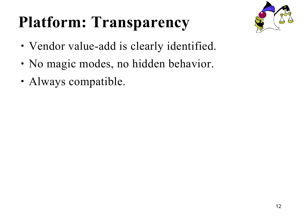### **Platform: Transparency**



- Vendor value-add is clearly identified.
- No magic modes, no hidden behavior.
- Always compatible.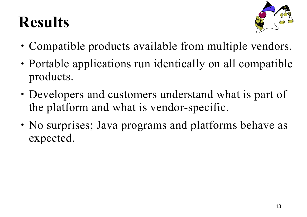#### **Results**



- Compatible products available from multiple vendors.
- Portable applications run identically on all compatible products.
- Developers and customers understand what is part of the platform and what is vendor-specific.
- No surprises; Java programs and platforms behave as expected.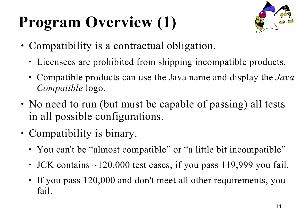# **Program Overview (1)**



- Compatibility is a contractual obligation.
	- Licensees are prohibited from shipping incompatible products.
	- Compatible products can use the Java name and display the *Java Compatible* logo.
- No need to run (but must be capable of passing) all tests in all possible configurations.
- Compatibility is binary.
	- You can't be "almost compatible" or "a little bit incompatible"
	- JCK contains ~120,000 test cases; if you pass 119,999 you fail.
	- If you pass 120,000 and don't meet all other requirements, you fail.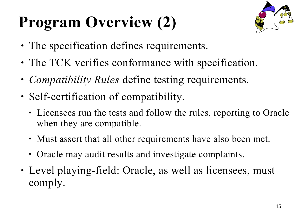# **Program Overview (2)**



- The specification defines requirements.
- The TCK verifies conformance with specification.
- *Compatibility Rules* define testing requirements.
- Self-certification of compatibility.
	- Licensees run the tests and follow the rules, reporting to Oracle when they are compatible.
	- Must assert that all other requirements have also been met.
	- Oracle may audit results and investigate complaints.
- Level playing-field: Oracle, as well as licensees, must comply.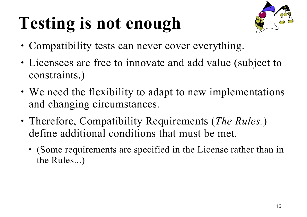# **Testing is not enough**



- Compatibility tests can never cover everything.
- Licensees are free to innovate and add value (subject to constraints.)
- We need the flexibility to adapt to new implementations and changing circumstances.
- Therefore, Compatibility Requirements (*The Rules.*) define additional conditions that must be met.
	- (Some requirements are specified in the License rather than in the Rules...)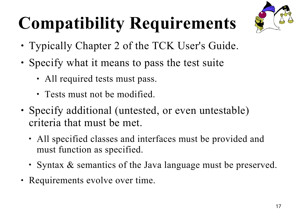# **Compatibility Requirements**



- Typically Chapter 2 of the TCK User's Guide.
- Specify what it means to pass the test suite
	- All required tests must pass.
	- Tests must not be modified.
- Specify additional (untested, or even untestable) criteria that must be met.
	- All specified classes and interfaces must be provided and must function as specified.
	- Syntax & semantics of the Java language must be preserved.
- Requirements evolve over time.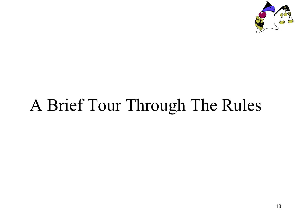

### A Brief Tour Through The Rules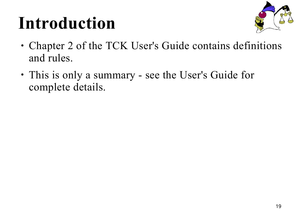### **Introduction**



- Chapter 2 of the TCK User's Guide contains definitions and rules.
- This is only a summary see the User's Guide for complete details.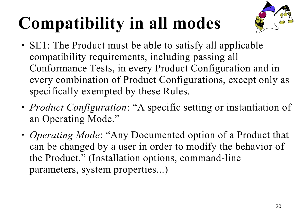# **Compatibility in all modes**



- SE1: The Product must be able to satisfy all applicable compatibility requirements, including passing all Conformance Tests, in every Product Configuration and in every combination of Product Configurations, except only as specifically exempted by these Rules.
- *Product Configuration*: "A specific setting or instantiation of an Operating Mode."
- *Operating Mode*: "Any Documented option of a Product that can be changed by a user in order to modify the behavior of the Product." (Installation options, command-line parameters, system properties...)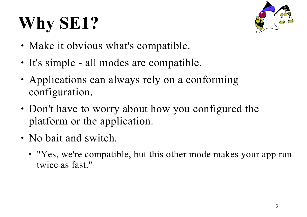# **Why SE1?**



- Make it obvious what's compatible.
- It's simple all modes are compatible.
- Applications can always rely on a conforming configuration.
- Don't have to worry about how you configured the platform or the application.
- No bait and switch.
	- "Yes, we're compatible, but this other mode makes your app run twice as fast."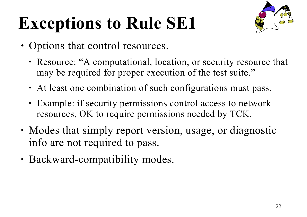# **Exceptions to Rule SE1**



- Options that control resources.
	- Resource: "A computational, location, or security resource that may be required for proper execution of the test suite."
	- At least one combination of such configurations must pass.
	- Example: if security permissions control access to network resources, OK to require permissions needed by TCK.
- Modes that simply report version, usage, or diagnostic info are not required to pass.
- Backward-compatibility modes.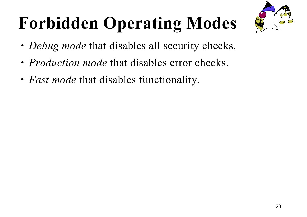

# **Forbidden Operating Modes**

- *Debug mode* that disables all security checks.
- *Production mode* that disables error checks.
- *Fast mode* that disables functionality.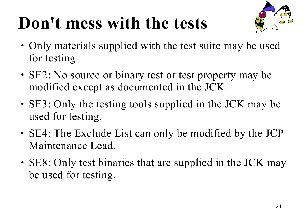### **Don't mess with the tests**



- Only materials supplied with the test suite may be used for testing
- SE2: No source or binary test or test property may be modified except as documented in the JCK.
- SE3: Only the testing tools supplied in the JCK may be used for testing.
- SE4: The Exclude List can only be modified by the JCP Maintenance Lead.
- SE8: Only test binaries that are supplied in the JCK may be used for testing.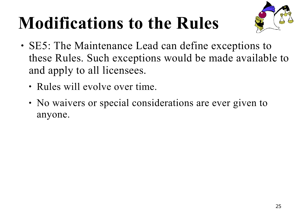# **Modifications to the Rules**



- SE5: The Maintenance Lead can define exceptions to these Rules. Such exceptions would be made available to and apply to all licensees.
	- Rules will evolve over time.
	- No waivers or special considerations are ever given to anyone.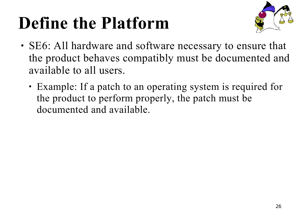## **Define the Platform**



- SE6: All hardware and software necessary to ensure that the product behaves compatibly must be documented and available to all users.
	- Example: If a patch to an operating system is required for the product to perform properly, the patch must be documented and available.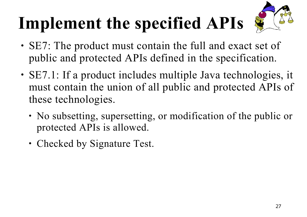# **Implement the specified APIs**



- SE7: The product must contain the full and exact set of public and protected APIs defined in the specification.
- SE7.1: If a product includes multiple Java technologies, it must contain the union of all public and protected APIs of these technologies.
	- No subsetting, supersetting, or modification of the public or protected APIs is allowed.
	- Checked by Signature Test.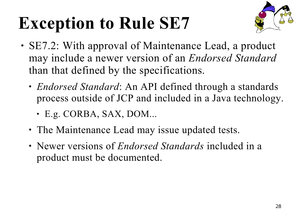# **Exception to Rule SE7**



- SE7.2: With approval of Maintenance Lead, a product may include a newer version of an *Endorsed Standard* than that defined by the specifications.
	- *Endorsed Standard*: An API defined through a standards process outside of JCP and included in a Java technology.
		- E.g. CORBA, SAX, DOM...
	- The Maintenance Lead may issue updated tests.
	- Newer versions of *Endorsed Standards* included in a product must be documented.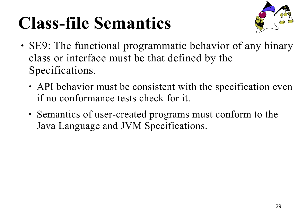## **Class-file Semantics**



- SE9: The functional programmatic behavior of any binary class or interface must be that defined by the Specifications.
	- API behavior must be consistent with the specification even if no conformance tests check for it.
	- Semantics of user-created programs must conform to the Java Language and JVM Specifications.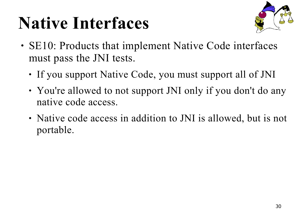### **Native Interfaces**



- SE10: Products that implement Native Code interfaces must pass the JNI tests.
	- If you support Native Code, you must support all of JNI
	- You're allowed to not support JNI only if you don't do any native code access.
	- Native code access in addition to JNI is allowed, but is not portable.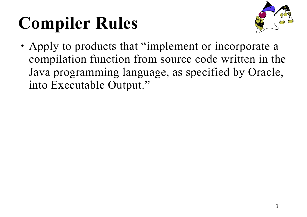# **Compiler Rules**



• Apply to products that "implement or incorporate a compilation function from source code written in the Java programming language, as specified by Oracle, into Executable Output."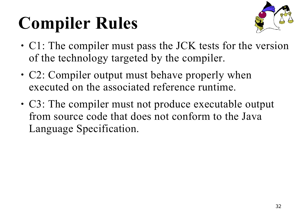# **Compiler Rules**



- C1: The compiler must pass the JCK tests for the version of the technology targeted by the compiler.
- C2: Compiler output must behave properly when executed on the associated reference runtime.
- C3: The compiler must not produce executable output from source code that does not conform to the Java Language Specification.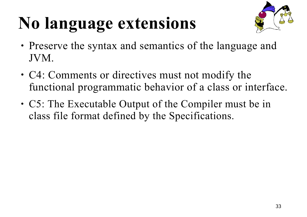# **No language extensions**



- Preserve the syntax and semantics of the language and JVM.
- C4: Comments or directives must not modify the functional programmatic behavior of a class or interface.
- C5: The Executable Output of the Compiler must be in class file format defined by the Specifications.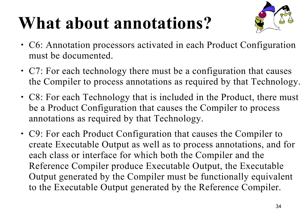### **What about annotations?**



- C6: Annotation processors activated in each Product Configuration must be documented.
- C7: For each technology there must be a configuration that causes the Compiler to process annotations as required by that Technology.
- C8: For each Technology that is included in the Product, there must be a Product Configuration that causes the Compiler to process annotations as required by that Technology.
- C9: For each Product Configuration that causes the Compiler to create Executable Output as well as to process annotations, and for each class or interface for which both the Compiler and the Reference Compiler produce Executable Output, the Executable Output generated by the Compiler must be functionally equivalent to the Executable Output generated by the Reference Compiler.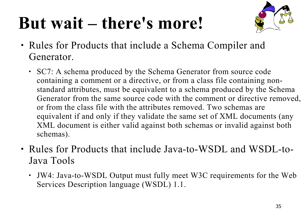### **But wait – there's more!**



- Rules for Products that include a Schema Compiler and Generator.
	- SC7: A schema produced by the Schema Generator from source code containing a comment or a directive, or from a class file containing nonstandard attributes, must be equivalent to a schema produced by the Schema Generator from the same source code with the comment or directive removed, or from the class file with the attributes removed. Two schemas are equivalent if and only if they validate the same set of XML documents (any XML document is either valid against both schemas or invalid against both schemas).
- Rules for Products that include Java-to-WSDL and WSDL-to-Java Tools
	- JW4: Java-to-WSDL Output must fully meet W3C requirements for the Web Services Description language (WSDL) 1.1.